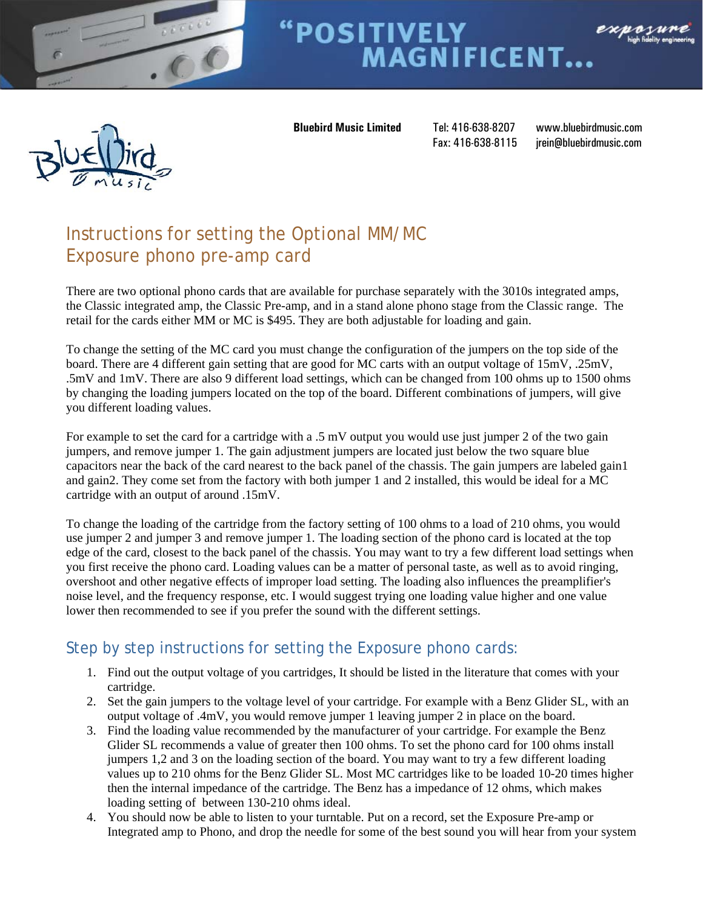

# **POSITIVELY<br>MAGNIFICENT...** exposur



 **Bluebird Music Limited** Tel: 416-638-8207 www.bluebirdmusic.com

Fax: 416-638-8115 irein@bluebirdmusic.com

## Instructions for setting the Optional MM/MC Exposure phono pre-amp card

There are two optional phono cards that are available for purchase separately with the 3010s integrated amps, the Classic integrated amp, the Classic Pre-amp, and in a stand alone phono stage from the Classic range. The retail for the cards either MM or MC is \$495. They are both adjustable for loading and gain.

To change the setting of the MC card you must change the configuration of the jumpers on the top side of the board. There are 4 different gain setting that are good for MC carts with an output voltage of 15mV, .25mV, .5mV and 1mV. There are also 9 different load settings, which can be changed from 100 ohms up to 1500 ohms by changing the loading jumpers located on the top of the board. Different combinations of jumpers, will give you different loading values.

For example to set the card for a cartridge with a .5 mV output you would use just jumper 2 of the two gain jumpers, and remove jumper 1. The gain adjustment jumpers are located just below the two square blue capacitors near the back of the card nearest to the back panel of the chassis. The gain jumpers are labeled gain1 and gain2. They come set from the factory with both jumper 1 and 2 installed, this would be ideal for a MC cartridge with an output of around .15mV.

To change the loading of the cartridge from the factory setting of 100 ohms to a load of 210 ohms, you would use jumper 2 and jumper 3 and remove jumper 1. The loading section of the phono card is located at the top edge of the card, closest to the back panel of the chassis. You may want to try a few different load settings when you first receive the phono card. Loading values can be a matter of personal taste, as well as to avoid ringing, overshoot and other negative effects of improper load setting. The loading also influences the preamplifier's noise level, and the frequency response, etc. I would suggest trying one loading value higher and one value lower then recommended to see if you prefer the sound with the different settings.

## Step by step instructions for setting the Exposure phono cards:

- 1. Find out the output voltage of you cartridges, It should be listed in the literature that comes with your cartridge.
- 2. Set the gain jumpers to the voltage level of your cartridge. For example with a Benz Glider SL, with an output voltage of .4mV, you would remove jumper 1 leaving jumper 2 in place on the board.
- 3. Find the loading value recommended by the manufacturer of your cartridge. For example the Benz Glider SL recommends a value of greater then 100 ohms. To set the phono card for 100 ohms install jumpers 1,2 and 3 on the loading section of the board. You may want to try a few different loading values up to 210 ohms for the Benz Glider SL. Most MC cartridges like to be loaded 10-20 times higher then the internal impedance of the cartridge. The Benz has a impedance of 12 ohms, which makes loading setting of between 130-210 ohms ideal.
- 4. You should now be able to listen to your turntable. Put on a record, set the Exposure Pre-amp or Integrated amp to Phono, and drop the needle for some of the best sound you will hear from your system